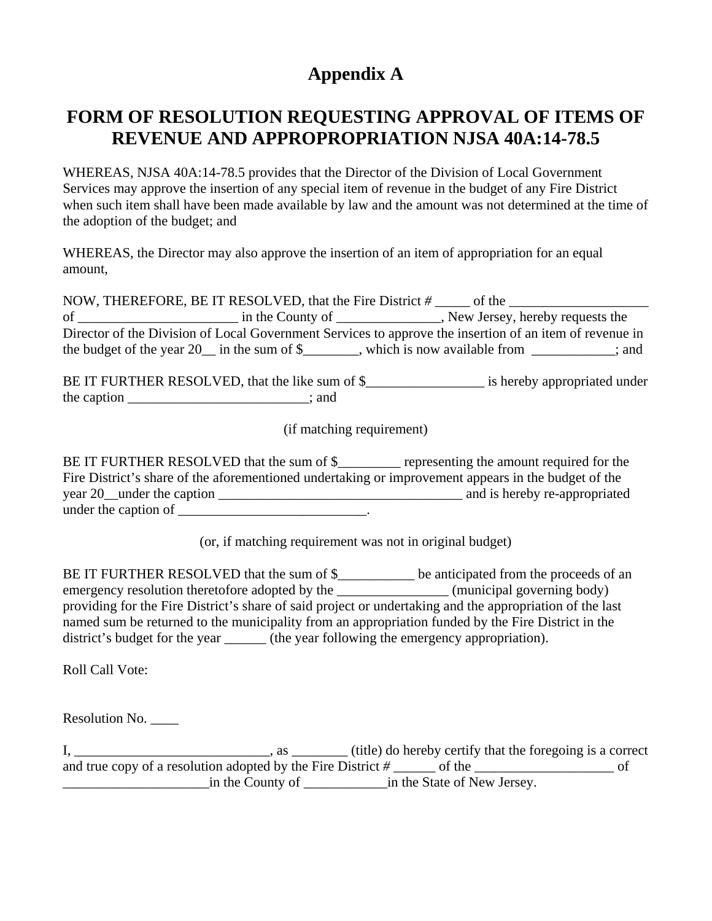# **Appendix A**

## **FORM OF RESOLUTION REQUESTING APPROVAL OF ITEMS OF REVENUE AND APPROPROPRIATION NJSA 40A:14-78.5**

WHEREAS, NJSA 40A:14-78.5 provides that the Director of the Division of Local Government Services may approve the insertion of any special item of revenue in the budget of any Fire District when such item shall have been made available by law and the amount was not determined at the time of the adoption of the budget; and

WHEREAS, the Director may also approve the insertion of an item of appropriation for an equal amount,

| NOW, THEREFORE, BE IT RESOLVED, that the Fire District #                                                | of the                                              |  |  |
|---------------------------------------------------------------------------------------------------------|-----------------------------------------------------|--|--|
| οf                                                                                                      | New Jersey, hereby requests the<br>in the County of |  |  |
| Director of the Division of Local Government Services to approve the insertion of an item of revenue in |                                                     |  |  |
| the budget of the year $20$ in the sum of \$                                                            | which is now available from<br>: and                |  |  |

BE IT FURTHER RESOLVED, that the like sum of \$\_\_\_\_\_\_\_\_\_\_\_\_\_\_\_\_\_ is hereby appropriated under the caption  $\cdot$ ; and

(if matching requirement)

BE IT FURTHER RESOLVED that the sum of \$ representing the amount required for the Fire District's share of the aforementioned undertaking or improvement appears in the budget of the year 20\_\_under the caption \_\_\_\_\_\_\_\_\_\_\_\_\_\_\_\_\_\_\_\_\_\_\_\_\_\_\_\_\_\_\_\_\_\_\_ and is hereby re-appropriated under the caption of  $\frac{1}{\sqrt{1-\frac{1}{2}}}\left\{ \frac{1}{\sqrt{1-\frac{1}{2}}}\right\}$ 

(or, if matching requirement was not in original budget)

BE IT FURTHER RESOLVED that the sum of \$\_\_\_\_\_\_\_\_\_\_\_ be anticipated from the proceeds of an emergency resolution theretofore adopted by the \_\_\_\_\_\_\_\_\_\_\_\_\_\_\_\_\_\_(municipal governing body) providing for the Fire District's share of said project or undertaking and the appropriation of the last named sum be returned to the municipality from an appropriation funded by the Fire District in the district's budget for the year \_\_\_\_\_\_\_ (the year following the emergency appropriation).

Roll Call Vote:

Resolution No. \_\_\_\_

I, \_\_\_\_\_\_\_\_\_\_\_\_\_\_\_\_\_\_\_\_\_\_\_\_\_\_\_\_, as \_\_\_\_\_\_\_\_ (title) do hereby certify that the foregoing is a correct and true copy of a resolution adopted by the Fire District *# \_\_\_\_\_\_* of the \_\_\_\_\_\_\_\_\_\_\_\_\_\_\_\_\_\_\_\_ of \_\_\_\_\_\_\_\_\_\_\_\_\_\_\_\_\_\_\_\_\_in the County of \_\_\_\_\_\_\_\_\_\_\_\_in the State of New Jersey.